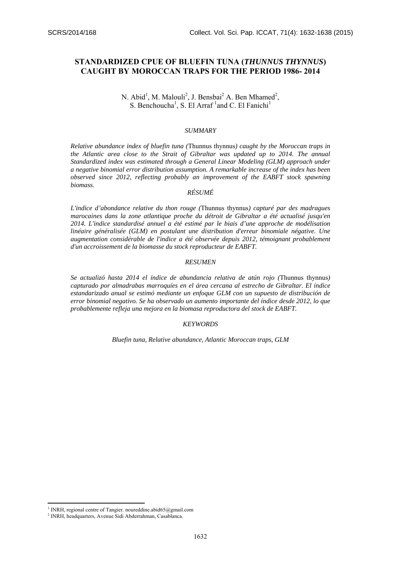# **STANDARDIZED CPUE OF BLUEFIN TUNA (***THUNNUS THYNNUS***) CAUGHT BY MOROCCAN TRAPS FOR THE PERIOD 1986- 2014**

# N. Abid<sup>1</sup>, M. Malouli<sup>2</sup>, J. Bensbai<sup>2</sup> A. Ben Mhamed<sup>2</sup>, S. Benchoucha<sup>1</sup>, S. El Arraf<sup>1</sup> and C. El Fanichi<sup>1</sup>

#### *SUMMARY*

*Relative abundance index of bluefin tuna (*Thunnus thynnus*) caught by the Moroccan traps in the Atlantic area close to the Strait of Gibraltar was updated up to 2014. The annual Standardized index was estimated through a General Linear Modeling (GLM) approach under a negative binomial error distribution assumption. A remarkable increase of the index has been observed since 2012, reflecting probably an improvement of the EABFT stock spawning biomass.* 

# *RÉSUMÉ*

*L'indice d'abondance relative du thon rouge (*Thunnus thynnus*) capturé par des madragues marocaines dans la zone atlantique proche du détroit de Gibraltar a été actualisé jusqu'en 2014. L'indice standardisé annuel a été estimé par le biais d'une approche de modélisation linéaire généralisée (GLM) en postulant une distribution d'erreur binomiale négative. Une augmentation considérable de l'indice a été observée depuis 2012, témoignant probablement d'un accroissement de la biomasse du stock reproducteur de EABFT.* 

#### *RESUMEN*

*Se actualizó hasta 2014 el índice de abundancia relativa de atún rojo (*Thunnus thynnus*) capturado por almadrabas marroquíes en el área cercana al estrecho de Gibraltar. El índice estandarizado anual se estimó mediante un enfoque GLM con un supuesto de distribución de error binomial negativo. Se ha observado un aumento importante del índice desde 2012, lo que probablemente refleja una mejora en la biomasa reproductora del stock de EABFT.* 

#### *KEYWORDS*

*Bluefin tuna, Relative abundance, Atlantic Moroccan traps, GLM*

1

<sup>&</sup>lt;sup>1</sup> INRH, regional centre of Tangier. noureddine.abid65@gmail.com

<sup>2</sup> INRH, headquarters, Avenue Sidi Abderrahman, Casablanca.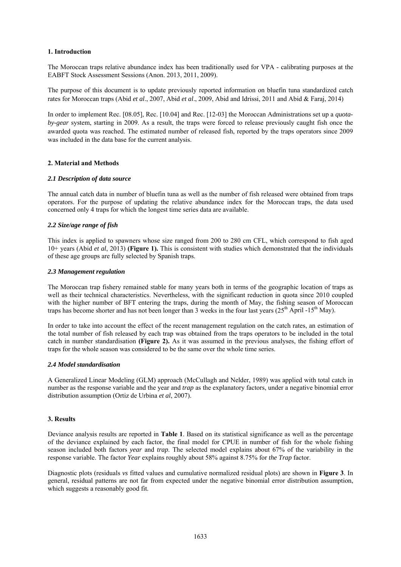### **1. Introduction**

The Moroccan traps relative abundance index has been traditionally used for VPA - calibrating purposes at the EABFT Stock Assessment Sessions (Anon. 2013, 2011, 2009).

The purpose of this document is to update previously reported information on bluefin tuna standardized catch rates for Moroccan traps (Abid *et al*., 2007, Abid *et al*., 2009, Abid and Idrissi, 2011 and Abid & Faraj, 2014)

In order to implement Rec. [08.05], Rec. [10.04] and Rec. [12-03] the Moroccan Administrations set up a *quotaby-gear* system, starting in 2009. As a result, the traps were forced to release previously caught fish once the awarded quota was reached. The estimated number of released fish, reported by the traps operators since 2009 was included in the data base for the current analysis.

# **2. Material and Methods**

# *2.1 Description of data source*

The annual catch data in number of bluefin tuna as well as the number of fish released were obtained from traps operators. For the purpose of updating the relative abundance index for the Moroccan traps, the data used concerned only 4 traps for which the longest time series data are available.

# *2.2 Size/age range of fish*

This index is applied to spawners whose size ranged from 200 to 280 cm CFL, which correspond to fish aged 10+ years (Abid *et al*, 2013) **(Figure 1).** This is consistent with studies which demonstrated that the individuals of these age groups are fully selected by Spanish traps.

### *2.3 Management regulation*

The Moroccan trap fishery remained stable for many years both in terms of the geographic location of traps as well as their technical characteristics. Nevertheless, with the significant reduction in quota since 2010 coupled with the higher number of BFT entering the traps, during the month of May, the fishing season of Moroccan traps has become shorter and has not been longer than 3 weeks in the four last years ( $25<sup>th</sup>$  April -15<sup>th</sup> May).

In order to take into account the effect of the recent management regulation on the catch rates, an estimation of the total number of fish released by each trap was obtained from the traps operators to be included in the total catch in number standardisation **(Figure 2).** As it was assumed in the previous analyses, the fishing effort of traps for the whole season was considered to be the same over the whole time series.

### *2.4 Model standardisation*

A Generalized Linear Modeling (GLM) approach (McCullagh and Nelder, 1989) was applied with total catch in number as the response variable and the year and *trap* as the explanatory factors, under a negative binomial error distribution assumption (Ortiz de Urbina *et al*, 2007).

### **3. Results**

Deviance analysis results are reported in **Table 1**. Based on its statistical significance as well as the percentage of the deviance explained by each factor, the final model for CPUE in number of fish for the whole fishing season included both factors *year* and *trap*. The selected model explains about 67% of the variability in the response variable. The factor *Year* explains roughly about 58% against 8.75% for *the Trap* factor.

Diagnostic plots (residuals *vs* fitted values and cumulative normalized residual plots) are shown in **Figure 3**. In general, residual patterns are not far from expected under the negative binomial error distribution assumption, which suggests a reasonably good fit.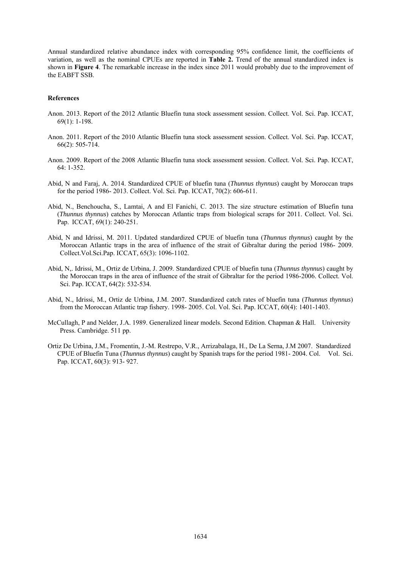Annual standardized relative abundance index with corresponding 95% confidence limit, the coefficients of variation, as well as the nominal CPUEs are reported in **Table 2.** Trend of the annual standardized index is shown in **Figure 4**. The remarkable increase in the index since 2011 would probably due to the improvement of the EABFT SSB.

#### **References**

- Anon. 2013. Report of the 2012 Atlantic Bluefin tuna stock assessment session. Collect. Vol. Sci. Pap. ICCAT, 69(1): 1-198.
- Anon. 2011. Report of the 2010 Atlantic Bluefin tuna stock assessment session. Collect. Vol. Sci. Pap. ICCAT, 66(2): 505-714.
- Anon. 2009. Report of the 2008 Atlantic Bluefin tuna stock assessment session. Collect. Vol. Sci. Pap. ICCAT, 64: 1-352.
- Abid, N and Faraj, A. 2014. Standardized CPUE of bluefin tuna (*Thunnus thynnus*) caught by Moroccan traps for the period 1986- 2013. Collect. Vol. Sci. Pap. ICCAT, 70(2): 606-611.
- Abid, N., Benchoucha, S., Lamtai, A and El Fanichi, C. 2013. The size structure estimation of Bluefin tuna (*Thunnus thynnus*) catches by Moroccan Atlantic traps from biological scraps for 2011. Collect. Vol. Sci. Pap. ICCAT, 69(1): 240-251.
- Abid, N and Idrissi, M. 2011. Updated standardized CPUE of bluefin tuna (*Thunnus thynnus*) caught by the Moroccan Atlantic traps in the area of influence of the strait of Gibraltar during the period 1986- 2009. Collect.Vol.Sci.Pap. ICCAT, 65(3): 1096-1102.
- Abid, N,. Idrissi, M., Ortiz de Urbina, J. 2009. Standardized CPUE of bluefin tuna (*Thunnus thynnus*) caught by the Moroccan traps in the area of influence of the strait of Gibraltar for the period 1986-2006. Collect. Vol. Sci. Pap. ICCAT, 64(2): 532-534.
- Abid, N., Idrissi, M., Ortiz de Urbina, J.M. 2007. Standardized catch rates of bluefin tuna (*Thunnus thynnus*) from the Moroccan Atlantic trap fishery. 1998- 2005. Col. Vol. Sci. Pap. ICCAT, 60(4): 1401-1403.
- McCullagh, P and Nelder, J.A. 1989. Generalized linear models. Second Edition. Chapman & Hall. University Press. Cambridge. 511 pp.
- Ortiz De Urbina, J.M., Fromentin, J.-M. Restrepo, V.R., Arrizabalaga, H., De La Serna, J.M 2007. Standardized CPUE of Bluefin Tuna (*Thunnus thynnus*) caught by Spanish traps for the period 1981- 2004. Col. Vol. Sci. Pap. ICCAT, 60(3): 913- 927.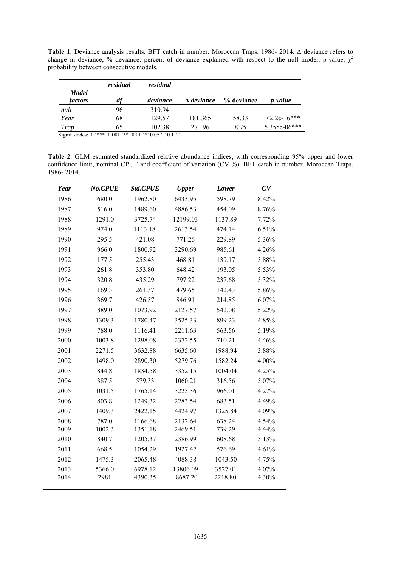**Table 1**. Deviance analysis results. BFT catch in number. Moroccan Traps. 1986- 2014. Δ deviance refers to change in deviance; % deviance: percent of deviance explained with respect to the null model; p-value:  $\chi^2$ probability between consecutive models.

|                         | residual                                                               | residual |                   |            |                 |
|-------------------------|------------------------------------------------------------------------|----------|-------------------|------------|-----------------|
| <b>Model</b><br>factors | df                                                                     | deviance | $\Delta$ deviance | % deviance | <i>p</i> -value |
| null                    | 96                                                                     | 310.94   |                   |            |                 |
| Year                    | 68                                                                     | 129.57   | 181.365           | 58.33      | $2.2e-16***$    |
| Trap                    | 65                                                                     | 102.38   | 27.196            | 8.75       | 5.355e-06***    |
|                         | Signif. codes: $0$ '***' $0.001$ '**' $0.01$ '*' $0.05$ '.' $0.1$ ' '1 |          |                   |            |                 |

**Table 2**. GLM estimated standardized relative abundance indices, with corresponding 95% upper and lower confidence limit, nominal CPUE and coefficient of variation (CV %). BFT catch in number. Moroccan Traps.

1986- 2014.

| Year         | No.CPUE        | Std.CPUE           | <b>Upper</b>        | Lower              | CV             |
|--------------|----------------|--------------------|---------------------|--------------------|----------------|
| 1986         | 680.0          | 1962.80            | 6433.95             | 598.79             | 8.42%          |
| 1987         | 516.0          | 1489.60            | 4886.53             | 454.09             | 8.76%          |
| 1988         | 1291.0         | 3725.74            | 12199.03            | 1137.89            | 7.72%          |
| 1989         | 974.0          | 1113.18            | 2613.54             | 474.14             | 6.51%          |
| 1990         | 295.5          | 421.08             | 771.26              | 229.89             | 5.36%          |
| 1991         | 966.0          | 1800.92            | 3290.69             | 985.61             | 4.26%          |
| 1992         | 177.5          | 255.43             | 468.81              | 139.17             | 5.88%          |
| 1993         | 261.8          | 353.80             | 648.42              | 193.05             | 5.53%          |
| 1994         | 320.8          | 435.29             | 797.22              | 237.68             | 5.32%          |
| 1995         | 169.3          | 261.37             | 479.65              | 142.43             | 5.86%          |
| 1996         | 369.7          | 426.57             | 846.91              | 214.85             | 6.07%          |
| 1997         | 889.0          | 1073.92            | 2127.57             | 542.08             | 5.22%          |
| 1998         | 1309.3         | 1780.47            | 3525.33             | 899.23             | 4.85%          |
| 1999         | 788.0          | 1116.41            | 2211.63             | 563.56             | 5.19%          |
| 2000         | 1003.8         | 1298.08            | 2372.55             | 710.21             | 4.46%          |
| 2001         | 2271.5         | 3632.88            | 6635.60             | 1988.94            | 3.88%          |
| 2002         | 1498.0         | 2890.30            | 5279.76             | 1582.24            | $4.00\%$       |
| 2003         | 844.8          | 1834.58            | 3352.15             | 1004.04            | 4.25%          |
| 2004         | 387.5          | 579.33             | 1060.21             | 316.56             | 5.07%          |
| 2005         | 1031.5         | 1765.14            | 3225.36             | 966.01             | 4.27%          |
| 2006         | 803.8          | 1249.32            | 2283.54             | 683.51             | 4.49%          |
| 2007         | 1409.3         | 2422.15            | 4424.97             | 1325.84            | 4.09%          |
| 2008         | 787.0          | 1166.68            | 2132.64             | 638.24             | 4.54%          |
| 2009         | 1002.3         | 1351.18            | 2469.51             | 739.29             | 4.44%          |
| 2010         | 840.7          | 1205.37            | 2386.99             | 608.68             | 5.13%          |
| 2011         | 668.5          | 1054.29            | 1927.42             | 576.69             | 4.61%          |
| 2012         | 1475.3         | 2065.48            | 4088.38             | 1043.50            | 4.75%          |
| 2013<br>2014 | 5366.0<br>2981 | 6978.12<br>4390.35 | 13806.09<br>8687.20 | 3527.01<br>2218.80 | 4.07%<br>4.30% |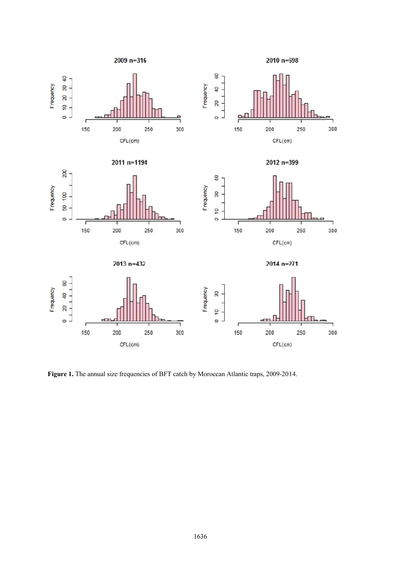









 $2013 n = 432$ 

 $2014$  n=271



Figure 1. The annual size frequencies of BFT catch by Moroccan Atlantic traps, 2009-2014.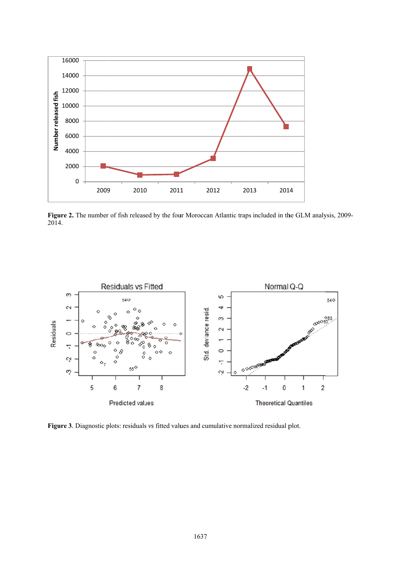

**Figure 2.** 2014. . The number of fish released by the four Moroccan Atlantic traps included in the GLM analysis, 2009-



**Figure 3**. Diagnostic plots: residuals vs fitted values and cumulative normalized residual plot.